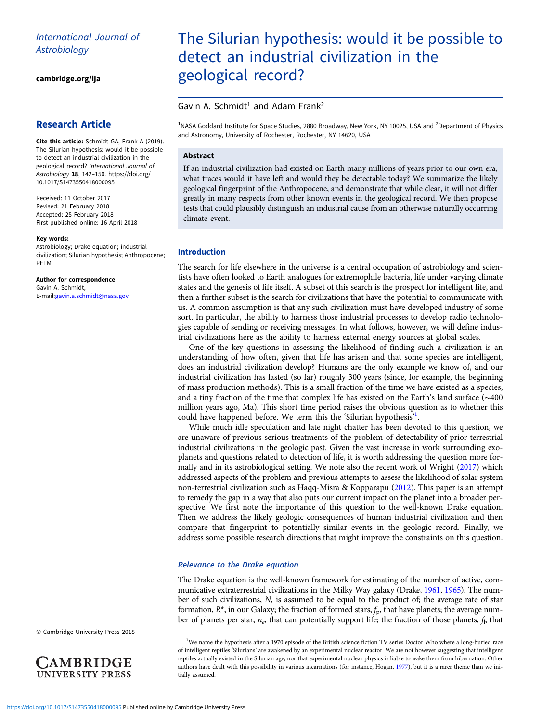# International Journal of<br>Astrobiology Astrobiology

[cambridge.org/ija](https://www.cambridge.org/ija)

# Research Article

Cite this article: Schmidt GA, Frank A (2019). The Silurian hypothesis: would it be possible to detect an industrial civilization in the geological record? International Journal of Astrobiology <sup>18</sup>, 142–150. [https://doi.org/](https://doi.org/10.1017/S1473550418000095) [10.1017/S1473550418000095](https://doi.org/10.1017/S1473550418000095)

Received: 11 October 2017 Revised: 21 February 2018 Accepted: 25 February 2018 First published online: 16 April 2018

#### Key words:

Astrobiology; Drake equation; industrial civilization; Silurian hypothesis; Anthropocene; PETM

Author for correspondence: Gavin A. Schmidt, E-mail:[gavin.a.schmidt@nasa.gov](mailto:gavin.a.schmidt@nasa.gov)

# © Cambridge University Press 2018



# The Silurian hypothesis: would it be possible to detect an industrial civilization in the geological record?

# Gavin A. Schmidt<sup>1</sup> and Adam Frank<sup>2</sup>

<sup>1</sup>NASA Goddard Institute for Space Studies, 2880 Broadway, New York, NY 10025, USA and <sup>2</sup>Department of Physics and Astronomy, University of Rochester, Rochester, NY 14620, USA

## Abstract

If an industrial civilization had existed on Earth many millions of years prior to our own era, what traces would it have left and would they be detectable today? We summarize the likely geological fingerprint of the Anthropocene, and demonstrate that while clear, it will not differ greatly in many respects from other known events in the geological record. We then propose tests that could plausibly distinguish an industrial cause from an otherwise naturally occurring climate event.

# Introduction

The search for life elsewhere in the universe is a central occupation of astrobiology and scientists have often looked to Earth analogues for extremophile bacteria, life under varying climate states and the genesis of life itself. A subset of this search is the prospect for intelligent life, and then a further subset is the search for civilizations that have the potential to communicate with us. A common assumption is that any such civilization must have developed industry of some sort. In particular, the ability to harness those industrial processes to develop radio technologies capable of sending or receiving messages. In what follows, however, we will define industrial civilizations here as the ability to harness external energy sources at global scales.

One of the key questions in assessing the likelihood of finding such a civilization is an understanding of how often, given that life has arisen and that some species are intelligent, does an industrial civilization develop? Humans are the only example we know of, and our industrial civilization has lasted (so far) roughly 300 years (since, for example, the beginning of mass production methods). This is a small fraction of the time we have existed as a species, and a tiny fraction of the time that complex life has existed on the Earth's land surface (∼400 million years ago, Ma). This short time period raises the obvious question as to whether this could have happened before. We term this the 'Silurian hypothesis'<sup>1</sup>.

While much idle speculation and late night chatter has been devoted to this question, we are unaware of previous serious treatments of the problem of detectability of prior terrestrial industrial civilizations in the geologic past. Given the vast increase in work surrounding exoplanets and questions related to detection of life, it is worth addressing the question more formally and in its astrobiological setting. We note also the recent work of Wright [\(2017\)](#page-8-0) which addressed aspects of the problem and previous attempts to assess the likelihood of solar system non-terrestrial civilization such as Haqq-Misra & Kopparapu [\(2012\)](#page-7-0). This paper is an attempt to remedy the gap in a way that also puts our current impact on the planet into a broader perspective. We first note the importance of this question to the well-known Drake equation. Then we address the likely geologic consequences of human industrial civilization and then compare that fingerprint to potentially similar events in the geologic record. Finally, we address some possible research directions that might improve the constraints on this question.

#### Relevance to the Drake equation

The Drake equation is the well-known framework for estimating of the number of active, communicative extraterrestrial civilizations in the Milky Way galaxy (Drake, [1961](#page-7-0), [1965\)](#page-7-0). The number of such civilizations, N, is assumed to be equal to the product of; the average rate of star formation,  $R^*$ , in our Galaxy; the fraction of formed stars,  $f_p$ , that have planets; the average number of planets per star,  $n_e$ , that can potentially support life; the fraction of those planets,  $f_{\rm b}$ , that

<sup>1</sup>We name the hypothesis after a 1970 episode of the British science fiction TV series Doctor Who where a long-buried race of intelligent reptiles 'Silurians' are awakened by an experimental nuclear reactor. We are not however suggesting that intelligent reptiles actually existed in the Silurian age, nor that experimental nuclear physics is liable to wake them from hibernation. Other authors have dealt with this possibility in various incarnations (for instance, Hogan, [1977\)](#page-7-0), but it is a rarer theme than we initially assumed.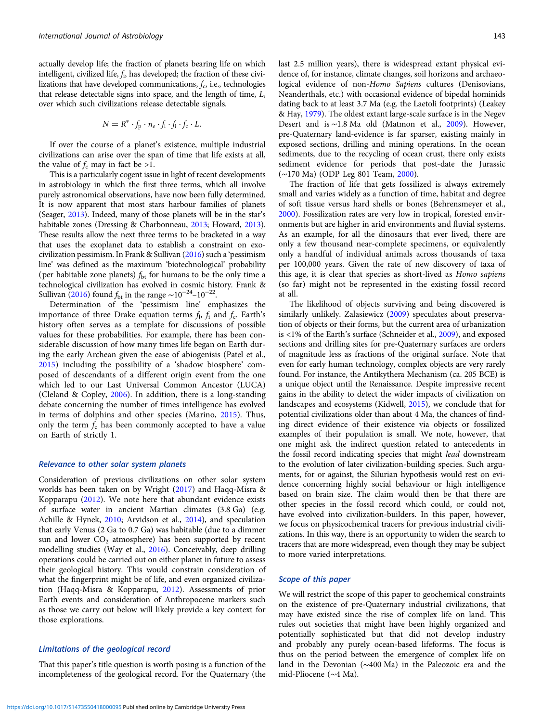actually develop life; the fraction of planets bearing life on which intelligent, civilized life,  $f_i$ , has developed; the fraction of these civilizations that have developed communications,  $f_c$ , i.e., technologies that release detectable signs into space, and the length of time, L, over which such civilizations release detectable signals.

$$
N = R^* \cdot f_p \cdot n_e \cdot f_1 \cdot f_i \cdot f_c \cdot L.
$$

If over the course of a planet's existence, multiple industrial civilizations can arise over the span of time that life exists at all, the value of  $f_c$  may in fact be >1.

This is a particularly cogent issue in light of recent developments in astrobiology in which the first three terms, which all involve purely astronomical observations, have now been fully determined. It is now apparent that most stars harbour families of planets (Seager, [2013\)](#page-8-0). Indeed, many of those planets will be in the star's habitable zones (Dressing & Charbonneau, [2013;](#page-7-0) Howard, [2013\)](#page-7-0). These results allow the next three terms to be bracketed in a way that uses the exoplanet data to establish a constraint on exocivilization pessimism. In Frank & Sullivan ([2016](#page-7-0)) such a 'pessimism line' was defined as the maximum 'biotechnological' probability (per habitable zone planets)  $f_{\text{bt}}$  for humans to be the only time a technological civilization has evolved in cosmic history. Frank & Sullivan [\(2016\)](#page-7-0) found  $f_{\text{bt}}$  in the range ~10<sup>-24</sup>-10<sup>-22</sup>.

Determination of the 'pessimism line' emphasizes the importance of three Drake equation terms  $f_1$ ,  $f_1$  and  $f_c$ . Earth's history often serves as a template for discussions of possible values for these probabilities. For example, there has been considerable discussion of how many times life began on Earth during the early Archean given the ease of abiogenisis (Patel et al., [2015](#page-7-0)) including the possibility of a 'shadow biosphere' composed of descendants of a different origin event from the one which led to our Last Universal Common Ancestor (LUCA) (Cleland & Copley, [2006\)](#page-7-0). In addition, there is a long-standing debate concerning the number of times intelligence has evolved in terms of dolphins and other species (Marino, [2015\)](#page-7-0). Thus, only the term  $f_c$  has been commonly accepted to have a value on Earth of strictly 1.

# Relevance to other solar system planets

Consideration of previous civilizations on other solar system worlds has been taken on by Wright ([2017](#page-8-0)) and Haqq-Misra & Kopparapu [\(2012](#page-7-0)). We note here that abundant evidence exists of surface water in ancient Martian climates (3.8 Ga) (e.g. Achille & Hynek, [2010](#page-7-0); Arvidson et al., [2014\)](#page-7-0), and speculation that early Venus (2 Ga to 0.7 Ga) was habitable (due to a dimmer sun and lower  $CO<sub>2</sub>$  atmosphere) has been supported by recent modelling studies (Way et al., [2016\)](#page-8-0). Conceivably, deep drilling operations could be carried out on either planet in future to assess their geological history. This would constrain consideration of what the fingerprint might be of life, and even organized civilization (Haqq-Misra & Kopparapu, [2012](#page-7-0)). Assessments of prior Earth events and consideration of Anthropocene markers such as those we carry out below will likely provide a key context for those explorations.

# Limitations of the geological record

That this paper's title question is worth posing is a function of the incompleteness of the geological record. For the Quaternary (the last 2.5 million years), there is widespread extant physical evidence of, for instance, climate changes, soil horizons and archaeological evidence of non-Homo Sapiens cultures (Denisovians, Neanderthals, etc.) with occasional evidence of bipedal hominids dating back to at least 3.7 Ma (e.g. the Laetoli footprints) (Leakey & Hay, [1979](#page-7-0)). The oldest extant large-scale surface is in the Negev Desert and is ∼1.8 Ma old (Matmon et al., [2009\)](#page-7-0). However, pre-Quaternary land-evidence is far sparser, existing mainly in exposed sections, drilling and mining operations. In the ocean sediments, due to the recycling of ocean crust, there only exists sediment evidence for periods that post-date the Jurassic (∼170 Ma) (ODP Leg 801 Team, [2000\)](#page-7-0).

The fraction of life that gets fossilized is always extremely small and varies widely as a function of time, habitat and degree of soft tissue versus hard shells or bones (Behrensmeyer et al., [2000\)](#page-7-0). Fossilization rates are very low in tropical, forested environments but are higher in arid environments and fluvial systems. As an example, for all the dinosaurs that ever lived, there are only a few thousand near-complete specimens, or equivalently only a handful of individual animals across thousands of taxa per 100,000 years. Given the rate of new discovery of taxa of this age, it is clear that species as short-lived as Homo sapiens (so far) might not be represented in the existing fossil record at all.

The likelihood of objects surviving and being discovered is similarly unlikely. Zalasiewicz [\(2009\)](#page-8-0) speculates about preservation of objects or their forms, but the current area of urbanization is <1% of the Earth's surface (Schneider et al., [2009\)](#page-8-0), and exposed sections and drilling sites for pre-Quaternary surfaces are orders of magnitude less as fractions of the original surface. Note that even for early human technology, complex objects are very rarely found. For instance, the Antikythera Mechanism (ca. 205 BCE) is a unique object until the Renaissance. Despite impressive recent gains in the ability to detect the wider impacts of civilization on landscapes and ecosystems (Kidwell, [2015](#page-7-0)), we conclude that for potential civilizations older than about 4 Ma, the chances of finding direct evidence of their existence via objects or fossilized examples of their population is small. We note, however, that one might ask the indirect question related to antecedents in the fossil record indicating species that might lead downstream to the evolution of later civilization-building species. Such arguments, for or against, the Silurian hypothesis would rest on evidence concerning highly social behaviour or high intelligence based on brain size. The claim would then be that there are other species in the fossil record which could, or could not, have evolved into civilization-builders. In this paper, however, we focus on physicochemical tracers for previous industrial civilizations. In this way, there is an opportunity to widen the search to tracers that are more widespread, even though they may be subject to more varied interpretations.

#### Scope of this paper

We will restrict the scope of this paper to geochemical constraints on the existence of pre-Quaternary industrial civilizations, that may have existed since the rise of complex life on land. This rules out societies that might have been highly organized and potentially sophisticated but that did not develop industry and probably any purely ocean-based lifeforms. The focus is thus on the period between the emergence of complex life on land in the Devonian (∼400 Ma) in the Paleozoic era and the mid-Pliocene (∼4 Ma).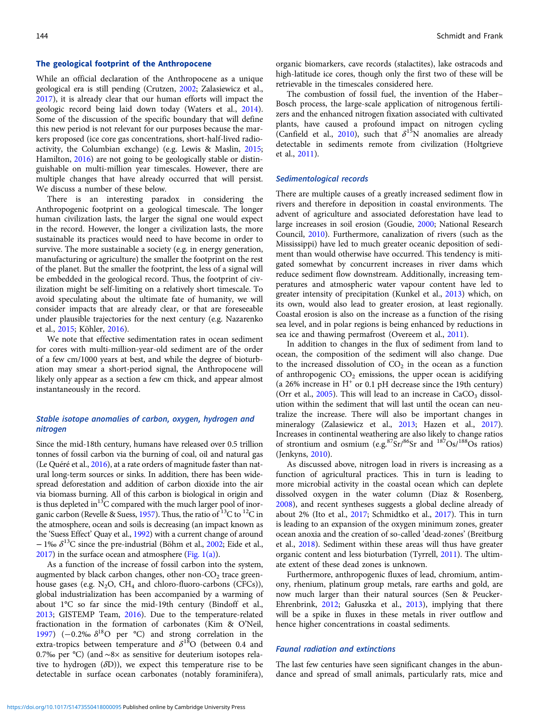#### The geological footprint of the Anthropocene

While an official declaration of the Anthropocene as a unique geological era is still pending (Crutzen, [2002](#page-7-0); Zalasiewicz et al., [2017\)](#page-8-0), it is already clear that our human efforts will impact the geologic record being laid down today (Waters et al., [2014\)](#page-8-0). Some of the discussion of the specific boundary that will define this new period is not relevant for our purposes because the markers proposed (ice core gas concentrations, short-half-lived radioactivity, the Columbian exchange) (e.g. Lewis & Maslin, [2015](#page-7-0); Hamilton, [2016\)](#page-7-0) are not going to be geologically stable or distinguishable on multi-million year timescales. However, there are multiple changes that have already occurred that will persist. We discuss a number of these below.

There is an interesting paradox in considering the Anthropogenic footprint on a geological timescale. The longer human civilization lasts, the larger the signal one would expect in the record. However, the longer a civilization lasts, the more sustainable its practices would need to have become in order to survive. The more sustainable a society (e.g. in energy generation, manufacturing or agriculture) the smaller the footprint on the rest of the planet. But the smaller the footprint, the less of a signal will be embedded in the geological record. Thus, the footprint of civilization might be self-limiting on a relatively short timescale. To avoid speculating about the ultimate fate of humanity, we will consider impacts that are already clear, or that are foreseeable under plausible trajectories for the next century (e.g. Nazarenko et al., [2015;](#page-7-0) Köhler, [2016\)](#page-7-0).

We note that effective sedimentation rates in ocean sediment for cores with multi-million-year-old sediment are of the order of a few cm/1000 years at best, and while the degree of bioturbation may smear a short-period signal, the Anthropocene will likely only appear as a section a few cm thick, and appear almost instantaneously in the record.

# Stable isotope anomalies of carbon, oxygen, hydrogen and nitrogen

Since the mid-18th century, humans have released over 0.5 trillion tonnes of fossil carbon via the burning of coal, oil and natural gas (Le Quéré et al., [2016\)](#page-7-0), at a rate orders of magnitude faster than natural long-term sources or sinks. In addition, there has been widespread deforestation and addition of carbon dioxide into the air via biomass burning. All of this carbon is biological in origin and is thus depleted in<sup>13</sup> $\rm C$  compared with the much larger pool of inor-ganic carbon (Revelle & Suess, [1957\)](#page-8-0). Thus, the ratio of  $^{13}$ C to  $^{12}$ C in the atmosphere, ocean and soils is decreasing (an impact known as the 'Suess Effect' Quay et al., [1992\)](#page-8-0) with a current change of around  $-1\% \delta^{13}C$  since the pre-industrial (Böhm et al., [2002;](#page-7-0) Eide et al.,  $2017$ ) in the surface ocean and atmosphere ([Fig. 1\(a\)\)](#page-3-0).

As a function of the increase of fossil carbon into the system, augmented by black carbon changes, other non- $CO<sub>2</sub>$  trace greenhouse gases (e.g.  $N_2O$ ,  $CH_4$  and chloro-fluoro-carbons (CFCs)), global industrialization has been accompanied by a warming of about 1°C so far since the mid-19th century (Bindoff et al., [2013;](#page-7-0) GISTEMP Team, [2016](#page-7-0)). Due to the temperature-related fractionation in the formation of carbonates (Kim & O'Neil, [1997\)](#page-7-0) ( $-0.2\%$   $\delta^{18}$ O per °C) and strong correlation in the extra-tropics between temperature and  $\delta^{18}$ O (between 0.4 and 0.7‰ per °C) (and ∼8× as sensitive for deuterium isotopes relative to hydrogen  $(\delta D)$ ), we expect this temperature rise to be detectable in surface ocean carbonates (notably foraminifera),

organic biomarkers, cave records (stalactites), lake ostracods and high-latitude ice cores, though only the first two of these will be retrievable in the timescales considered here.

The combustion of fossil fuel, the invention of the Haber– Bosch process, the large-scale application of nitrogenous fertilizers and the enhanced nitrogen fixation associated with cultivated plants, have caused a profound impact on nitrogen cycling (Canfield et al., [2010](#page-7-0)), such that  $\delta^{15}N$  anomalies are already detectable in sediments remote from civilization (Holtgrieve et al., [2011](#page-7-0)).

#### Sedimentological records

There are multiple causes of a greatly increased sediment flow in rivers and therefore in deposition in coastal environments. The advent of agriculture and associated deforestation have lead to large increases in soil erosion (Goudie, [2000](#page-7-0); National Research Council, [2010](#page-7-0)). Furthermore, canalization of rivers (such as the Mississippi) have led to much greater oceanic deposition of sediment than would otherwise have occurred. This tendency is mitigated somewhat by concurrent increases in river dams which reduce sediment flow downstream. Additionally, increasing temperatures and atmospheric water vapour content have led to greater intensity of precipitation (Kunkel et al., [2013\)](#page-7-0) which, on its own, would also lead to greater erosion, at least regionally. Coastal erosion is also on the increase as a function of the rising sea level, and in polar regions is being enhanced by reductions in sea ice and thawing permafrost (Overeem et al., [2011\)](#page-7-0).

In addition to changes in the flux of sediment from land to ocean, the composition of the sediment will also change. Due to the increased dissolution of  $CO<sub>2</sub>$  in the ocean as a function of anthropogenic  $CO<sub>2</sub>$  emissions, the upper ocean is acidifying (a 26% increase in  $H^+$  or 0.1 pH decrease since the 19th century) (Orr et al.,  $2005$ ). This will lead to an increase in CaCO<sub>3</sub> dissolution within the sediment that will last until the ocean can neutralize the increase. There will also be important changes in mineralogy (Zalasiewicz et al., [2013](#page-8-0); Hazen et al., [2017](#page-7-0)). Increases in continental weathering are also likely to change ratios of strontium and osmium (e.g.  $87\text{Sr}/86\text{Sr}$  and  $187\text{Os}/188\text{Os}$  ratios) (Jenkyns, [2010\)](#page-7-0).

As discussed above, nitrogen load in rivers is increasing as a function of agricultural practices. This in turn is leading to more microbial activity in the coastal ocean which can deplete dissolved oxygen in the water column (Diaz & Rosenberg, [2008\)](#page-7-0), and recent syntheses suggests a global decline already of about 2% (Ito et al., [2017;](#page-7-0) Schmidtko et al., [2017](#page-8-0)). This in turn is leading to an expansion of the oxygen minimum zones, greater ocean anoxia and the creation of so-called 'dead-zones' (Breitburg et al., [2018](#page-7-0)). Sediment within these areas will thus have greater organic content and less bioturbation (Tyrrell, [2011\)](#page-8-0). The ultimate extent of these dead zones is unknown.

Furthermore, anthropogenic fluxes of lead, chromium, antimony, rhenium, platinum group metals, rare earths and gold, are now much larger than their natural sources (Sen & Peucker-Ehrenbrink, [2012;](#page-8-0) Gałuszka et al., [2013\)](#page-7-0), implying that there will be a spike in fluxes in these metals in river outflow and hence higher concentrations in coastal sediments.

## Faunal radiation and extinctions

The last few centuries have seen significant changes in the abundance and spread of small animals, particularly rats, mice and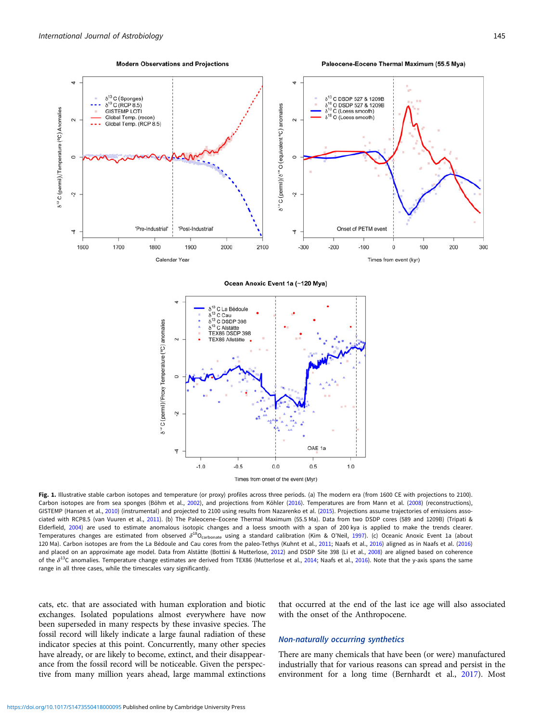<span id="page-3-0"></span>

#### Ocean Anoxic Event 1a (~120 Mya)



Fig. 1. Illustrative stable carbon isotopes and temperature (or proxy) profiles across three periods. (a) The modern era (from 1600 CE with projections to 2100). Carbon isotopes are from sea sponges (Böhm et al., [2002\)](#page-7-0), and projections from Köhler [\(2016\)](#page-7-0). Temperatures are from Mann et al. ([2008](#page-7-0)) (reconstructions), GISTEMP (Hansen et al., [2010](#page-7-0)) (instrumental) and projected to 2100 using results from Nazarenko et al. ([2015](#page-7-0)). Projections assume trajectories of emissions asso-ciated with RCP8.5 (van Vuuren et al., [2011](#page-8-0)). (b) The Paleocene-Eocene Thermal Maximum (55.5 Ma). Data from two DSDP cores (589 and 1209B) (Tripati & Elderfield, [2004](#page-8-0)) are used to estimate anomalous isotopic changes and a loess smooth with a span of 200 kya is applied to make the trends clearer. Temperatures changes are estimated from observed  $\delta^{18}O_{\text{carbonate}}$  using a standard calibration (Kim & O'Neil, [1997\)](#page-7-0). (c) Oceanic Anoxic Event 1a (about 120 Ma). Carbon isotopes are from the La Bédoule and Cau cores from the paleo-Tethys (Kuhnt et al., [2011](#page-7-0); Naafs et al., [2016](#page-7-0)) aligned as in Naafs et al. (2016) and placed on an approximate age model. Data from Alstätte (Bottini & Mutterlose, [2012\)](#page-7-0) and DSDP Site 398 (Li et al., [2008](#page-7-0)) are aligned based on coherence of the  $\delta^{13}$ C anomalies. Temperature change estimates are derived from TEX86 (Mutterlose et al., [2014](#page-7-0); Naafs et al., [2016](#page-7-0)). Note that the y-axis spans the same range in all three cases, while the timescales vary significantly.

cats, etc. that are associated with human exploration and biotic exchanges. Isolated populations almost everywhere have now been superseded in many respects by these invasive species. The fossil record will likely indicate a large faunal radiation of these indicator species at this point. Concurrently, many other species have already, or are likely to become, extinct, and their disappearance from the fossil record will be noticeable. Given the perspective from many million years ahead, large mammal extinctions that occurred at the end of the last ice age will also associated with the onset of the Anthropocene.

## Non-naturally occurring synthetics

There are many chemicals that have been (or were) manufactured industrially that for various reasons can spread and persist in the environment for a long time (Bernhardt et al., [2017](#page-7-0)). Most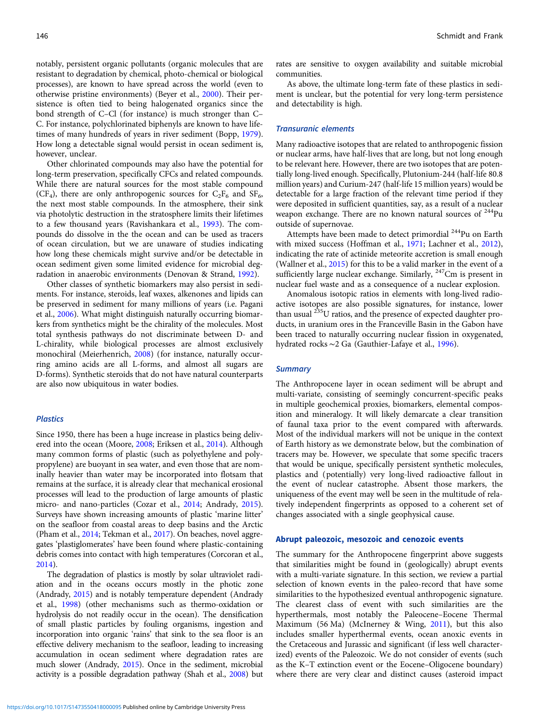notably, persistent organic pollutants (organic molecules that are resistant to degradation by chemical, photo-chemical or biological processes), are known to have spread across the world (even to otherwise pristine environments) (Beyer et al., [2000](#page-7-0)). Their persistence is often tied to being halogenated organics since the bond strength of C–Cl (for instance) is much stronger than C– C. For instance, polychlorinated biphenyls are known to have lifetimes of many hundreds of years in river sediment (Bopp, [1979\)](#page-7-0). How long a detectable signal would persist in ocean sediment is, however, unclear.

Other chlorinated compounds may also have the potential for long-term preservation, specifically CFCs and related compounds. While there are natural sources for the most stable compound (CF<sub>4</sub>), there are only anthropogenic sources for  $C_2F_6$  and  $SF_6$ , the next most stable compounds. In the atmosphere, their sink via photolytic destruction in the stratosphere limits their lifetimes to a few thousand years (Ravishankara et al., [1993](#page-8-0)). The compounds do dissolve in the the ocean and can be used as tracers of ocean circulation, but we are unaware of studies indicating how long these chemicals might survive and/or be detectable in ocean sediment given some limited evidence for microbial degradation in anaerobic environments (Denovan & Strand, [1992\)](#page-7-0).

Other classes of synthetic biomarkers may also persist in sediments. For instance, steroids, leaf waxes, alkenones and lipids can be preserved in sediment for many millions of years (i.e. Pagani et al., [2006](#page-7-0)). What might distinguish naturally occurring biomarkers from synthetics might be the chirality of the molecules. Most total synthesis pathways do not discriminate between D- and L-chirality, while biological processes are almost exclusively monochiral (Meierhenrich, [2008\)](#page-7-0) (for instance, naturally occurring amino acids are all L-forms, and almost all sugars are D-forms). Synthetic steroids that do not have natural counterparts are also now ubiquitous in water bodies.

# **Plastics**

Since 1950, there has been a huge increase in plastics being delivered into the ocean (Moore, [2008;](#page-7-0) Eriksen et al., [2014](#page-7-0)). Although many common forms of plastic (such as polyethylene and polypropylene) are buoyant in sea water, and even those that are nominally heavier than water may be incorporated into flotsam that remains at the surface, it is already clear that mechanical erosional processes will lead to the production of large amounts of plastic micro- and nano-particles (Cozar et al., [2014;](#page-7-0) Andrady, [2015\)](#page-7-0). Surveys have shown increasing amounts of plastic 'marine litter' on the seafloor from coastal areas to deep basins and the Arctic (Pham et al., [2014](#page-8-0); Tekman et al., [2017](#page-8-0)). On beaches, novel aggregates 'plastiglomerates' have been found where plastic-containing debris comes into contact with high temperatures (Corcoran et al., [2014\)](#page-7-0).

The degradation of plastics is mostly by solar ultraviolet radiation and in the oceans occurs mostly in the photic zone (Andrady, [2015\)](#page-7-0) and is notably temperature dependent (Andrady et al., [1998\)](#page-7-0) (other mechanisms such as thermo-oxidation or hydrolysis do not readily occur in the ocean). The densification of small plastic particles by fouling organisms, ingestion and incorporation into organic 'rains' that sink to the sea floor is an effective delivery mechanism to the seafloor, leading to increasing accumulation in ocean sediment where degradation rates are much slower (Andrady, [2015\)](#page-7-0). Once in the sediment, microbial activity is a possible degradation pathway (Shah et al., [2008\)](#page-8-0) but

rates are sensitive to oxygen availability and suitable microbial communities.

As above, the ultimate long-term fate of these plastics in sediment is unclear, but the potential for very long-term persistence and detectability is high.

#### Transuranic elements

Many radioactive isotopes that are related to anthropogenic fission or nuclear arms, have half-lives that are long, but not long enough to be relevant here. However, there are two isotopes that are potentially long-lived enough. Specifically, Plutonium-244 (half-life 80.8 million years) and Curium-247 (half-life 15 million years) would be detectable for a large fraction of the relevant time period if they were deposited in sufficient quantities, say, as a result of a nuclear weapon exchange. There are no known natural sources of  $^{244}$ Pu outside of supernovae.

Attempts have been made to detect primordial <sup>244</sup>Pu on Earth with mixed success (Hoffman et al., [1971](#page-7-0); Lachner et al., [2012](#page-7-0)), indicating the rate of actinide meteorite accretion is small enough (Wallner et al., [2015\)](#page-8-0) for this to be a valid marker in the event of a sufficiently large nuclear exchange. Similarly, <sup>247</sup>Cm is present in nuclear fuel waste and as a consequence of a nuclear explosion.

Anomalous isotopic ratios in elements with long-lived radioactive isotopes are also possible signatures, for instance, lower than usual <sup>235</sup>U ratios, and the presence of expected daughter products, in uranium ores in the Franceville Basin in the Gabon have been traced to naturally occurring nuclear fission in oxygenated, hydrated rocks ∼2 Ga (Gauthier-Lafaye et al., [1996\)](#page-7-0).

#### **Summary**

The Anthropocene layer in ocean sediment will be abrupt and multi-variate, consisting of seemingly concurrent-specific peaks in multiple geochemical proxies, biomarkers, elemental composition and mineralogy. It will likely demarcate a clear transition of faunal taxa prior to the event compared with afterwards. Most of the individual markers will not be unique in the context of Earth history as we demonstrate below, but the combination of tracers may be. However, we speculate that some specific tracers that would be unique, specifically persistent synthetic molecules, plastics and (potentially) very long-lived radioactive fallout in the event of nuclear catastrophe. Absent those markers, the uniqueness of the event may well be seen in the multitude of relatively independent fingerprints as opposed to a coherent set of changes associated with a single geophysical cause.

#### Abrupt paleozoic, mesozoic and cenozoic events

The summary for the Anthropocene fingerprint above suggests that similarities might be found in (geologically) abrupt events with a multi-variate signature. In this section, we review a partial selection of known events in the paleo-record that have some similarities to the hypothesized eventual anthropogenic signature. The clearest class of event with such similarities are the hyperthermals, most notably the Paleocene–Eocene Thermal Maximum (56 Ma) (McInerney & Wing, [2011](#page-7-0)), but this also includes smaller hyperthermal events, ocean anoxic events in the Cretaceous and Jurassic and significant (if less well characterized) events of the Paleozoic. We do not consider of events (such as the K–T extinction event or the Eocene–Oligocene boundary) where there are very clear and distinct causes (asteroid impact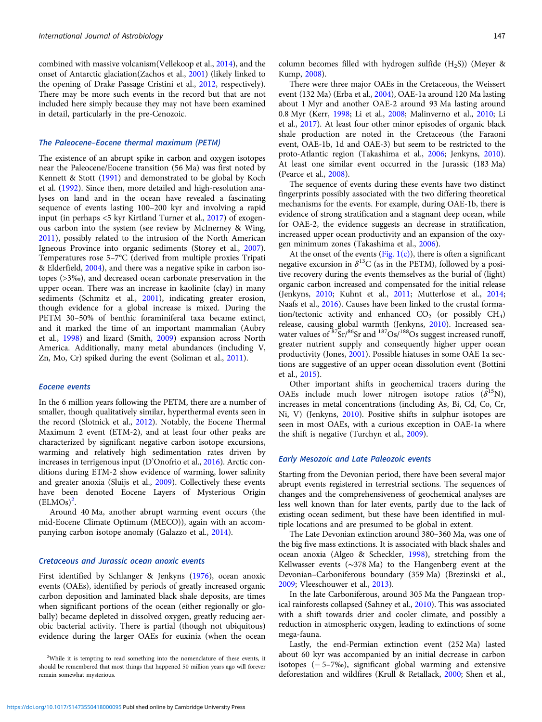combined with massive volcanism(Vellekoop et al., [2014\)](#page-8-0), and the onset of Antarctic glaciation(Zachos et al., [2001\)](#page-8-0) (likely linked to the opening of Drake Passage Cristini et al., [2012](#page-7-0), respectively). There may be more such events in the record but that are not included here simply because they may not have been examined in detail, particularly in the pre-Cenozoic.

#### The Paleocene–Eocene thermal maximum (PETM)

The existence of an abrupt spike in carbon and oxygen isotopes near the Paleocene/Eocene transition (56 Ma) was first noted by Kennett & Stott ([1991\)](#page-7-0) and demonstrated to be global by Koch et al. ([1992\)](#page-7-0). Since then, more detailed and high-resolution analyses on land and in the ocean have revealed a fascinating sequence of events lasting 100–200 kyr and involving a rapid input (in perhaps <5 kyr Kirtland Turner et al., [2017\)](#page-7-0) of exogenous carbon into the system (see review by McInerney & Wing, [2011\)](#page-7-0), possibly related to the intrusion of the North American Igneous Province into organic sediments (Storey et al., [2007\)](#page-8-0). Temperatures rose 5–7°C (derived from multiple proxies Tripati & Elderfield, [2004\)](#page-8-0), and there was a negative spike in carbon isotopes (>3‰), and decreased ocean carbonate preservation in the upper ocean. There was an increase in kaolinite (clay) in many sediments (Schmitz et al., [2001\)](#page-8-0), indicating greater erosion, though evidence for a global increase is mixed. During the PETM 30–50% of benthic foraminiferal taxa became extinct, and it marked the time of an important mammalian (Aubry et al., [1998](#page-7-0)) and lizard (Smith, [2009\)](#page-8-0) expansion across North America. Additionally, many metal abundances (including V, Zn, Mo, Cr) spiked during the event (Soliman et al., [2011\)](#page-8-0).

#### Eocene events

In the 6 million years following the PETM, there are a number of smaller, though qualitatively similar, hyperthermal events seen in the record (Slotnick et al., [2012](#page-8-0)). Notably, the Eocene Thermal Maximum 2 event (ETM-2), and at least four other peaks are characterized by significant negative carbon isotope excursions, warming and relatively high sedimentation rates driven by increases in terrigenous input (D'Onofrio et al., [2016\)](#page-7-0). Arctic conditions during ETM-2 show evidence of warming, lower salinity and greater anoxia (Sluijs et al., [2009\)](#page-8-0). Collectively these events have been denoted Eocene Layers of Mysterious Origin  $(ELMOs)^2$ .

Around 40 Ma, another abrupt warming event occurs (the mid-Eocene Climate Optimum (MECO)), again with an accompanying carbon isotope anomaly (Galazzo et al., [2014\)](#page-7-0).

#### Cretaceous and Jurassic ocean anoxic events

First identified by Schlanger & Jenkyns [\(1976\)](#page-8-0), ocean anoxic events (OAEs), identified by periods of greatly increased organic carbon deposition and laminated black shale deposits, are times when significant portions of the ocean (either regionally or globally) became depleted in dissolved oxygen, greatly reducing aerobic bacterial activity. There is partial (though not ubiquitous) evidence during the larger OAEs for euxinia (when the ocean column becomes filled with hydrogen sulfide  $(H_2S)$ ) (Meyer & Kump, [2008\)](#page-7-0).

There were three major OAEs in the Cretaceous, the Weissert event (132 Ma) (Erba et al., [2004\)](#page-7-0), OAE-1a around 120 Ma lasting about 1 Myr and another OAE-2 around 93 Ma lasting around 0.8 Myr (Kerr, [1998](#page-7-0); Li et al., [2008;](#page-7-0) Malinverno et al., [2010](#page-7-0); Li et al., [2017](#page-7-0)). At least four other minor episodes of organic black shale production are noted in the Cretaceous (the Faraoni event, OAE-1b, 1d and OAE-3) but seem to be restricted to the proto-Atlantic region (Takashima et al., [2006;](#page-8-0) Jenkyns, [2010](#page-7-0)). At least one similar event occurred in the Jurassic (183 Ma) (Pearce et al., [2008](#page-7-0)).

The sequence of events during these events have two distinct fingerprints possibly associated with the two differing theoretical mechanisms for the events. For example, during OAE-1b, there is evidence of strong stratification and a stagnant deep ocean, while for OAE-2, the evidence suggests an decrease in stratification, increased upper ocean productivity and an expansion of the oxygen minimum zones (Takashima et al., [2006\)](#page-8-0).

At the onset of the events (Fig.  $1(c)$ ), there is often a significant negative excursion in  $\delta^{13}$ C (as in the PETM), followed by a positive recovery during the events themselves as the burial of (light) organic carbon increased and compensated for the initial release (Jenkyns, [2010](#page-7-0); Kuhnt et al., [2011](#page-7-0); Mutterlose et al., [2014](#page-7-0); Naafs et al., [2016\)](#page-7-0). Causes have been linked to the crustal formation/tectonic activity and enhanced  $CO<sub>2</sub>$  (or possibly  $CH<sub>4</sub>$ ) release, causing global warmth (Jenkyns, [2010](#page-7-0)). Increased seawater values of  $87\text{Sr}/86\text{Sr}$  and  $187\text{Os}/188\text{Os}$  suggest increased runoff, greater nutrient supply and consequently higher upper ocean productivity (Jones, [2001\)](#page-7-0). Possible hiatuses in some OAE 1a sections are suggestive of an upper ocean dissolution event (Bottini et al., [2015](#page-7-0)).

Other important shifts in geochemical tracers during the OAEs include much lower nitrogen isotope ratios  $(\delta^{15}N)$ , increases in metal concentrations (including As, Bi, Cd, Co, Cr, Ni, V) (Jenkyns, [2010\)](#page-7-0). Positive shifts in sulphur isotopes are seen in most OAEs, with a curious exception in OAE-1a where the shift is negative (Turchyn et al., [2009](#page-8-0)).

# Early Mesozoic and Late Paleozoic events

Starting from the Devonian period, there have been several major abrupt events registered in terrestrial sections. The sequences of changes and the comprehensiveness of geochemical analyses are less well known than for later events, partly due to the lack of existing ocean sediment, but these have been identified in multiple locations and are presumed to be global in extent.

The Late Devonian extinction around 380–360 Ma, was one of the big five mass extinctions. It is associated with black shales and ocean anoxia (Algeo & Scheckler, [1998](#page-7-0)), stretching from the Kellwasser events (∼378 Ma) to the Hangenberg event at the Devonian–Carboniferous boundary (359 Ma) (Brezinski et al., [2009](#page-7-0); Vleeschouwer et al., [2013\)](#page-8-0).

In the late Carboniferous, around 305 Ma the Pangaean tropical rainforests collapsed (Sahney et al., [2010](#page-8-0)). This was associated with a shift towards drier and cooler climate, and possibly a reduction in atmospheric oxygen, leading to extinctions of some mega-fauna.

Lastly, the end-Permian extinction event (252 Ma) lasted about 60 kyr was accompanied by an initial decrease in carbon isotopes (− 5–7‰), significant global warming and extensive deforestation and wildfires (Krull & Retallack, [2000;](#page-7-0) Shen et al.,

<sup>&</sup>lt;sup>2</sup>While it is tempting to read something into the nomenclature of these events, it should be remembered that most things that happened 50 million years ago will forever remain somewhat mysterious.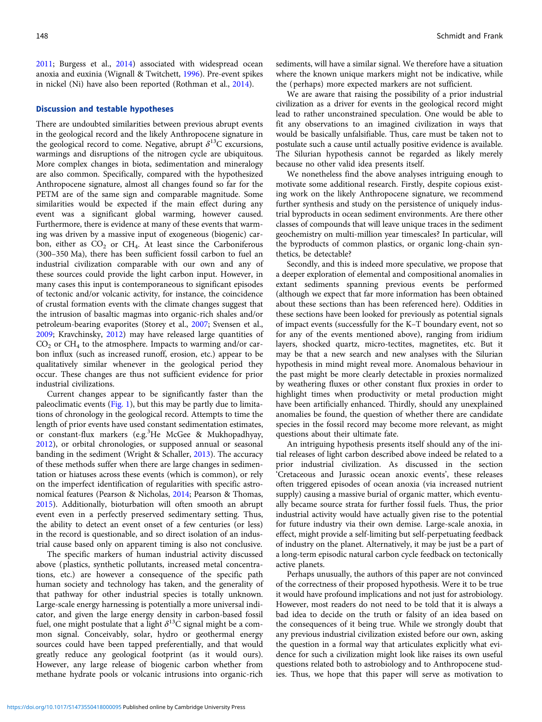[2011;](#page-8-0) Burgess et al., [2014\)](#page-7-0) associated with widespread ocean anoxia and euxinia (Wignall & Twitchett, [1996\)](#page-8-0). Pre-event spikes in nickel (Ni) have also been reported (Rothman et al., [2014\)](#page-8-0).

## Discussion and testable hypotheses

There are undoubted similarities between previous abrupt events in the geological record and the likely Anthropocene signature in the geological record to come. Negative, abrupt  $\delta^{13}$ C excursions, warmings and disruptions of the nitrogen cycle are ubiquitous. More complex changes in biota, sedimentation and mineralogy are also common. Specifically, compared with the hypothesized Anthropocene signature, almost all changes found so far for the PETM are of the same sign and comparable magnitude. Some similarities would be expected if the main effect during any event was a significant global warming, however caused. Furthermore, there is evidence at many of these events that warming was driven by a massive input of exogeneous (biogenic) carbon, either as  $CO<sub>2</sub>$  or CH<sub>4</sub>. At least since the Carboniferous (300–350 Ma), there has been sufficient fossil carbon to fuel an industrial civilization comparable with our own and any of these sources could provide the light carbon input. However, in many cases this input is contemporaneous to significant episodes of tectonic and/or volcanic activity, for instance, the coincidence of crustal formation events with the climate changes suggest that the intrusion of basaltic magmas into organic-rich shales and/or petroleum-bearing evaporites (Storey et al., [2007;](#page-8-0) Svensen et al., [2009;](#page-8-0) Kravchinsky, [2012](#page-7-0)) may have released large quantities of  $CO<sub>2</sub>$  or  $CH<sub>4</sub>$  to the atmosphere. Impacts to warming and/or carbon influx (such as increased runoff, erosion, etc.) appear to be qualitatively similar whenever in the geological period they occur. These changes are thus not sufficient evidence for prior industrial civilizations.

Current changes appear to be significantly faster than the paleoclimatic events ([Fig. 1\)](#page-3-0), but this may be partly due to limitations of chronology in the geological record. Attempts to time the length of prior events have used constant sedimentation estimates, or constant-flux markers (e.g.<sup>3</sup>He McGee & Mukhopadhyay, [2012\)](#page-7-0), or orbital chronologies, or supposed annual or seasonal banding in the sediment (Wright & Schaller, [2013](#page-8-0)). The accuracy of these methods suffer when there are large changes in sedimentation or hiatuses across these events (which is common), or rely on the imperfect identification of regularities with specific astronomical features (Pearson & Nicholas, [2014](#page-7-0); Pearson & Thomas, [2015\)](#page-8-0). Additionally, bioturbation will often smooth an abrupt event even in a perfectly preserved sedimentary setting. Thus, the ability to detect an event onset of a few centuries (or less) in the record is questionable, and so direct isolation of an industrial cause based only on apparent timing is also not conclusive.

The specific markers of human industrial activity discussed above (plastics, synthetic pollutants, increased metal concentrations, etc.) are however a consequence of the specific path human society and technology has taken, and the generality of that pathway for other industrial species is totally unknown. Large-scale energy harnessing is potentially a more universal indicator, and given the large energy density in carbon-based fossil fuel, one might postulate that a light  $\delta^{13}$ C signal might be a common signal. Conceivably, solar, hydro or geothermal energy sources could have been tapped preferentially, and that would greatly reduce any geological footprint (as it would ours). However, any large release of biogenic carbon whether from methane hydrate pools or volcanic intrusions into organic-rich

sediments, will have a similar signal. We therefore have a situation where the known unique markers might not be indicative, while the (perhaps) more expected markers are not sufficient.

We are aware that raising the possibility of a prior industrial civilization as a driver for events in the geological record might lead to rather unconstrained speculation. One would be able to fit any observations to an imagined civilization in ways that would be basically unfalsifiable. Thus, care must be taken not to postulate such a cause until actually positive evidence is available. The Silurian hypothesis cannot be regarded as likely merely because no other valid idea presents itself.

We nonetheless find the above analyses intriguing enough to motivate some additional research. Firstly, despite copious existing work on the likely Anthropocene signature, we recommend further synthesis and study on the persistence of uniquely industrial byproducts in ocean sediment environments. Are there other classes of compounds that will leave unique traces in the sediment geochemistry on multi-million year timescales? In particular, will the byproducts of common plastics, or organic long-chain synthetics, be detectable?

Secondly, and this is indeed more speculative, we propose that a deeper exploration of elemental and compositional anomalies in extant sediments spanning previous events be performed (although we expect that far more information has been obtained about these sections than has been referenced here). Oddities in these sections have been looked for previously as potential signals of impact events (successfully for the K–T boundary event, not so for any of the events mentioned above), ranging from iridium layers, shocked quartz, micro-tectites, magnetites, etc. But it may be that a new search and new analyses with the Silurian hypothesis in mind might reveal more. Anomalous behaviour in the past might be more clearly detectable in proxies normalized by weathering fluxes or other constant flux proxies in order to highlight times when productivity or metal production might have been artificially enhanced. Thirdly, should any unexplained anomalies be found, the question of whether there are candidate species in the fossil record may become more relevant, as might questions about their ultimate fate.

An intriguing hypothesis presents itself should any of the initial releases of light carbon described above indeed be related to a prior industrial civilization. As discussed in the section 'Cretaceous and Jurassic ocean anoxic events', these releases often triggered episodes of ocean anoxia (via increased nutrient supply) causing a massive burial of organic matter, which eventually became source strata for further fossil fuels. Thus, the prior industrial activity would have actually given rise to the potential for future industry via their own demise. Large-scale anoxia, in effect, might provide a self-limiting but self-perpetuating feedback of industry on the planet. Alternatively, it may be just be a part of a long-term episodic natural carbon cycle feedback on tectonically active planets.

Perhaps unusually, the authors of this paper are not convinced of the correctness of their proposed hypothesis. Were it to be true it would have profound implications and not just for astrobiology. However, most readers do not need to be told that it is always a bad idea to decide on the truth or falsity of an idea based on the consequences of it being true. While we strongly doubt that any previous industrial civilization existed before our own, asking the question in a formal way that articulates explicitly what evidence for such a civilization might look like raises its own useful questions related both to astrobiology and to Anthropocene studies. Thus, we hope that this paper will serve as motivation to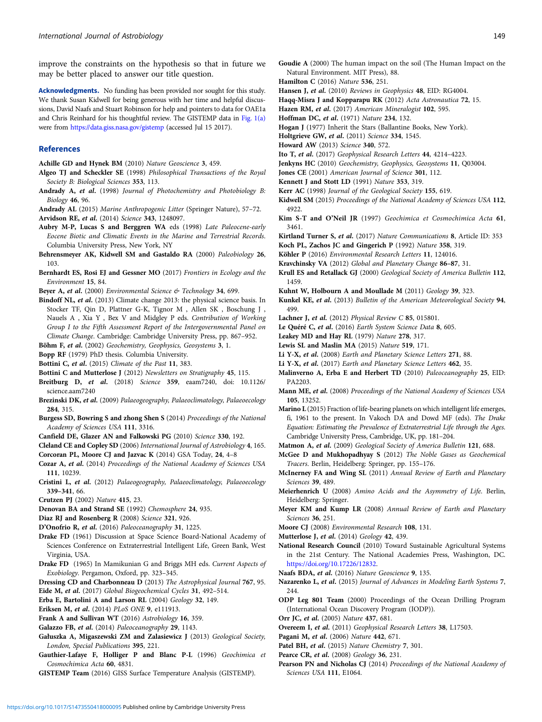<span id="page-7-0"></span>improve the constraints on the hypothesis so that in future we may be better placed to answer our title question.

Acknowledgments. No funding has been provided nor sought for this study. We thank Susan Kidwell for being generous with her time and helpful discussions, David Naafs and Stuart Robinson for help and pointers to data for OAE1a and Chris Reinhard for his thoughtful review. The GISTEMP data in [Fig. 1\(a\)](#page-3-0) were from <https://data.giss.nasa.gov/gistemp> (accessed Jul 15 2017).

#### References

- Achille GD and Hynek BM (2010) Nature Geoscience 3, 459.
- Algeo TJ and Scheckler SE (1998) Philosophical Transactions of the Royal Society B: Biological Sciences 353, 113.
- Andrady A, et al. (1998) Journal of Photochemistry and Photobiology B: Biology 46, 96.
- Andrady AL (2015) Marine Anthropogenic Litter (Springer Nature), 57–72. Arvidson RE, et al. (2014) Science 343, 1248097.
- Aubry M-P, Lucas S and Berggren WA eds (1998) Late Paleocene-early Eocene Biotic and Climatic Events in the Marine and Terrestrial Records. Columbia University Press, New York, NY
- Behrensmeyer AK, Kidwell SM and Gastaldo RA (2000) Paleobiology 26, 103.
- Bernhardt ES, Rosi EJ and Gessner MO (2017) Frontiers in Ecology and the Environment 15, 84.
- Beyer A, et al. (2000) Environmental Science & Technology 34, 699.
- Bindoff NL, et al. (2013) Climate change 2013: the physical science basis. In Stocker TF, Qin D, Plattner G-K, Tignor M , Allen SK , Boschung J , Nauels A , Xia Y , Bex V and Midgley P eds. Contribution of Working Group I to the Fifth Assessment Report of the Intergovernmental Panel on Climate Change. Cambridge: Cambridge University Press, pp. 867–952.
- Böhm F, et al. (2002) Geochemistry, Geophysics, Geosystems 3, 1.

Bopp RF (1979) PhD thesis. Columbia University.

- Bottini C, et al. (2015) Climate of the Past 11, 383.
- Bottini C and Mutterlose J (2012) Newsletters on Stratigraphy 45, 115.
- Breitburg D, et al. (2018) Science 359, eaam7240, doi: 10.1126/ science.aam7240
- Brezinski DK, et al. (2009) Palaeogeography, Palaeoclimatology, Palaeoecology 284, 315.
- Burgess SD, Bowring S and zhong Shen S (2014) Proceedings of the National Academy of Sciences USA 111, 3316.
- Canfield DE, Glazer AN and Falkowski PG (2010) Science 330, 192.
- Cleland CE and Copley SD (2006) International Journal of Astrobiology 4, 165. Corcoran PL, Moore CJ and Jazvac K (2014) GSA Today, 24, 4–8
- Cozar A, et al. (2014) Proceedings of the National Academy of Sciences USA 111, 10239.
- Cristini L, et al. (2012) Palaeogeography, Palaeoclimatology, Palaeoecology 339–341, 66.
- Crutzen PJ (2002) Nature 415, 23.
- Denovan BA and Strand SE (1992) Chemosphere 24, 935.
- Diaz RJ and Rosenberg R (2008) Science 321, 926.
- D'Onofrio R, et al. (2016) Paleoceanography 31, 1225.
- Drake FD (1961) Discussion at Space Science Board-National Academy of Sciences Conference on Extraterrestrial Intelligent Life, Green Bank, West Virginia, USA.
- Drake FD (1965) In Mamikunian G and Briggs MH eds. Current Aspects of Exobiology. Pergamon, Oxford, pp. 323–345.
- Dressing CD and Charbonneau D (2013) The Astrophysical Journal 767, 95.
- Eide M, et al. (2017) Global Biogeochemical Cycles 31, 492–514.
- Erba E, Bartolini A and Larson RL (2004) Geology 32, 149.
- Eriksen M, et al. (2014) PLoS ONE 9, e111913.
- Frank A and Sullivan WT (2016) Astrobiology 16, 359.
- Galazzo FB, et al. (2014) Paleoceanography 29, 1143.
- Gałuszka A, Migaszewski ZM and Zalasiewicz J (2013) Geological Society, London, Special Publications 395, 221.
- Gauthier-Lafaye F, Holliger P and Blanc P-L (1996) Geochimica et Cosmochimica Acta 60, 4831.
- GISTEMP Team (2016) GISS Surface Temperature Analysis (GISTEMP).
- Goudie A (2000) The human impact on the soil (The Human Impact on the Natural Environment. MIT Press), 88.
- Hamilton C (2016) Nature 536, 251.
- Hansen J, et al. (2010) Reviews in Geophysics 48, EID: RG4004.
- Haqq-Misra J and Kopparapu RK (2012) Acta Astronautica 72, 15.
- Hazen RM, et al. (2017) American Mineralogist 102, 595.
- Hoffman DC, et al. (1971) Nature 234, 132.
- Hogan J (1977) Inherit the Stars (Ballantine Books, New York).
- Holtgrieve GW, et al. (2011) Science 334, 1545.
- Howard AW (2013) Science 340, 572.
- Ito T, et al. (2017) Geophysical Research Letters 44, 4214–4223.
- Jenkyns HC (2010) Geochemistry, Geophysics, Geosystems 11, Q03004.
- Jones CE (2001) American Journal of Science 301, 112.
- Kennett J and Stott LD (1991) Nature 353, 319.
- Kerr AC (1998) Journal of the Geological Society 155, 619.
- Kidwell SM (2015) Proceedings of the National Academy of Sciences USA 112, 4922.
- Kim S-T and O'Neil JR (1997) Geochimica et Cosmochimica Acta 61, 3461.
- Kirtland Turner S, et al. (2017) Nature Communications 8, Article ID: 353 Koch PL, Zachos JC and Gingerich P (1992) Nature 358, 319.
- Köhler P (2016) Environmental Research Letters 11, 124016.
- Kravchinsky VA (2012) Global and Planetary Change 86–87, 31.
- Krull ES and Retallack GJ (2000) Geological Society of America Bulletin 112, 1459.
- Kuhnt W, Holbourn A and Moullade M (2011) Geology 39, 323.
- Kunkel KE, et al. (2013) Bulletin of the American Meteorological Society 94, 499.
- Lachner J, et al. (2012) Physical Review C 85, 015801.
- Le Quéré C, et al. (2016) Earth System Science Data 8, 605.
- Leakey MD and Hay RL (1979) Nature 278, 317.
- Lewis SL and Maslin MA (2015) Nature 519, 171.
- Li Y-X, et al. (2008) Earth and Planetary Science Letters 271, 88.
- Li Y-X, et al. (2017) Earth and Planetary Science Letters 462, 35.
- Malinverno A, Erba E and Herbert TD (2010) Paleoceanography 25, EID: PA2203.
- Mann ME, et al. (2008) Proceedings of the National Academy of Sciences USA 105, 13252.
- Marino L (2015) Fraction of life-bearing planets on which intelligent life emerges, fi, 1961 to the present. In Vakoch DA and Dowd MF (eds). The Drake Equation: Estimating the Prevalence of Extraterrestrial Life through the Ages. Cambridge University Press, Cambridge, UK, pp. 181–204.
- Matmon A, et al. (2009) Geological Society of America Bulletin 121, 688.
- McGee D and Mukhopadhyay S (2012) The Noble Gases as Geochemical Tracers. Berlin, Heidelberg: Springer, pp. 155–176.
- McInerney FA and Wing SL (2011) Annual Review of Earth and Planetary Sciences 39, 489.
- Meierhenrich U (2008) Amino Acids and the Asymmetry of Life. Berlin, Heidelberg: Springer.
- Meyer KM and Kump LR (2008) Annual Review of Earth and Planetary Sciences 36, 251.
- Moore CJ (2008) Environmental Research 108, 131.
- Mutterlose J, et al. (2014) Geology 42, 439.
- National Research Council (2010) Toward Sustainable Agricultural Systems in the 21st Century. The National Academies Press, Washington, DC. <https://doi.org/10.17226/12832>.
- Naafs BDA, et al. (2016) Nature Geoscience 9, 135.
- Nazarenko L, et al. (2015) Journal of Advances in Modeling Earth Systems 7, 244.
- ODP Leg 801 Team (2000) Proceedings of the Ocean Drilling Program (International Ocean Discovery Program (IODP)).
- Orr JC, et al. (2005) Nature 437, 681.
- Overeem I, et al. (2011) Geophysical Research Letters 38, L17503.
- Pagani M, et al. (2006) Nature 442, 671.
- Patel BH, et al. (2015) Nature Chemistry 7, 301.
- Pearce CR, et al. (2008) Geology 36, 231.
- Pearson PN and Nicholas CJ (2014) Proceedings of the National Academy of Sciences USA 111, E1064.